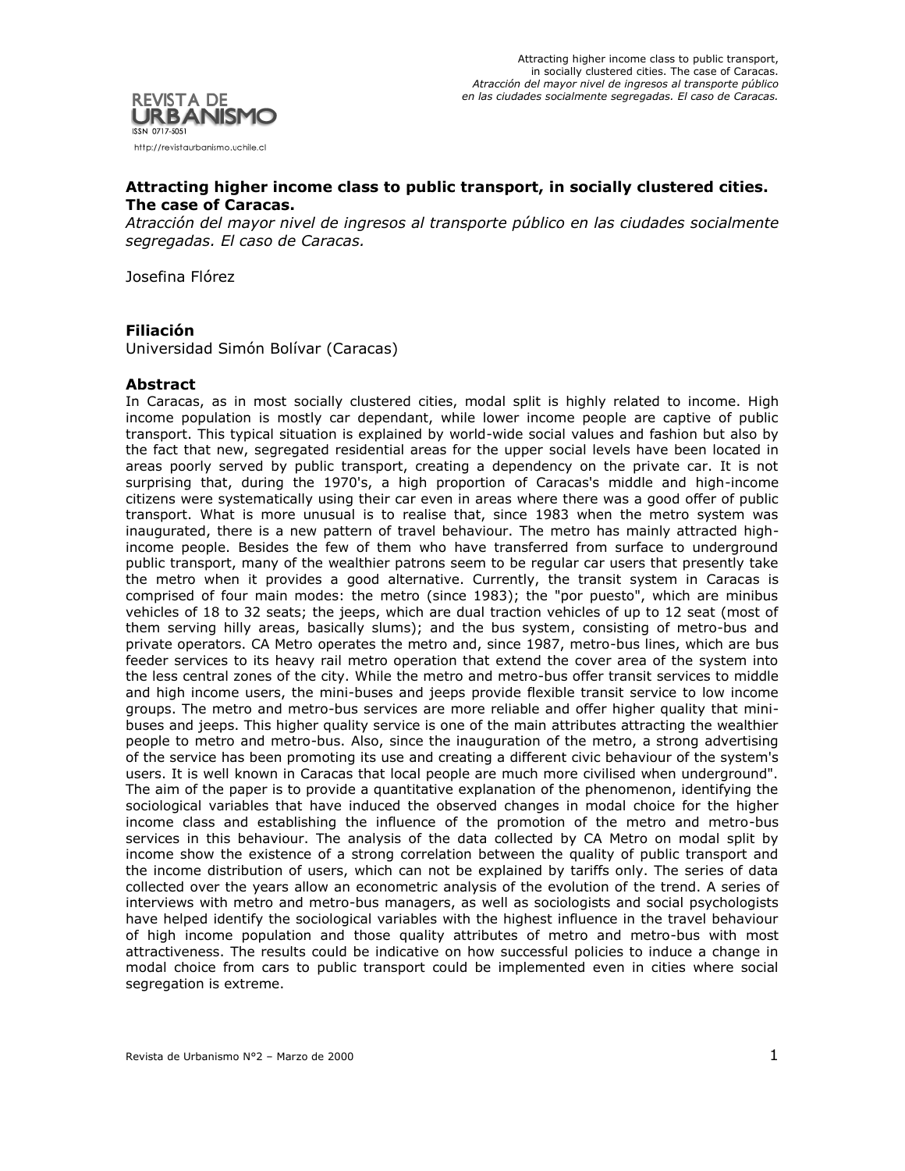

## **Attracting higher income class to public transport, in socially clustered cities. The case of Caracas.**

*Atracción del mayor nivel de ingresos al transporte público en las ciudades socialmente segregadas. El caso de Caracas.*

Josefina Flórez

## **Filiación**

Universidad Simón Bolívar (Caracas)

#### **Abstract**

In Caracas, as in most socially clustered cities, modal split is highly related to income. High income population is mostly car dependant, while lower income people are captive of public transport. This typical situation is explained by world-wide social values and fashion but also by the fact that new, segregated residential areas for the upper social levels have been located in areas poorly served by public transport, creating a dependency on the private car. It is not surprising that, during the 1970's, a high proportion of Caracas's middle and high-income citizens were systematically using their car even in areas where there was a good offer of public transport. What is more unusual is to realise that, since 1983 when the metro system was inaugurated, there is a new pattern of travel behaviour. The metro has mainly attracted highincome people. Besides the few of them who have transferred from surface to underground public transport, many of the wealthier patrons seem to be regular car users that presently take the metro when it provides a good alternative. Currently, the transit system in Caracas is comprised of four main modes: the metro (since 1983); the "por puesto", which are minibus vehicles of 18 to 32 seats; the jeeps, which are dual traction vehicles of up to 12 seat (most of them serving hilly areas, basically slums); and the bus system, consisting of metro-bus and private operators. CA Metro operates the metro and, since 1987, metro-bus lines, which are bus feeder services to its heavy rail metro operation that extend the cover area of the system into the less central zones of the city. While the metro and metro-bus offer transit services to middle and high income users, the mini-buses and jeeps provide flexible transit service to low income groups. The metro and metro-bus services are more reliable and offer higher quality that minibuses and jeeps. This higher quality service is one of the main attributes attracting the wealthier people to metro and metro-bus. Also, since the inauguration of the metro, a strong advertising of the service has been promoting its use and creating a different civic behaviour of the system's users. It is well known in Caracas that local people are much more civilised when underground". The aim of the paper is to provide a quantitative explanation of the phenomenon, identifying the sociological variables that have induced the observed changes in modal choice for the higher income class and establishing the influence of the promotion of the metro and metro-bus services in this behaviour. The analysis of the data collected by CA Metro on modal split by income show the existence of a strong correlation between the quality of public transport and the income distribution of users, which can not be explained by tariffs only. The series of data collected over the years allow an econometric analysis of the evolution of the trend. A series of interviews with metro and metro-bus managers, as well as sociologists and social psychologists have helped identify the sociological variables with the highest influence in the travel behaviour of high income population and those quality attributes of metro and metro-bus with most attractiveness. The results could be indicative on how successful policies to induce a change in modal choice from cars to public transport could be implemented even in cities where social segregation is extreme.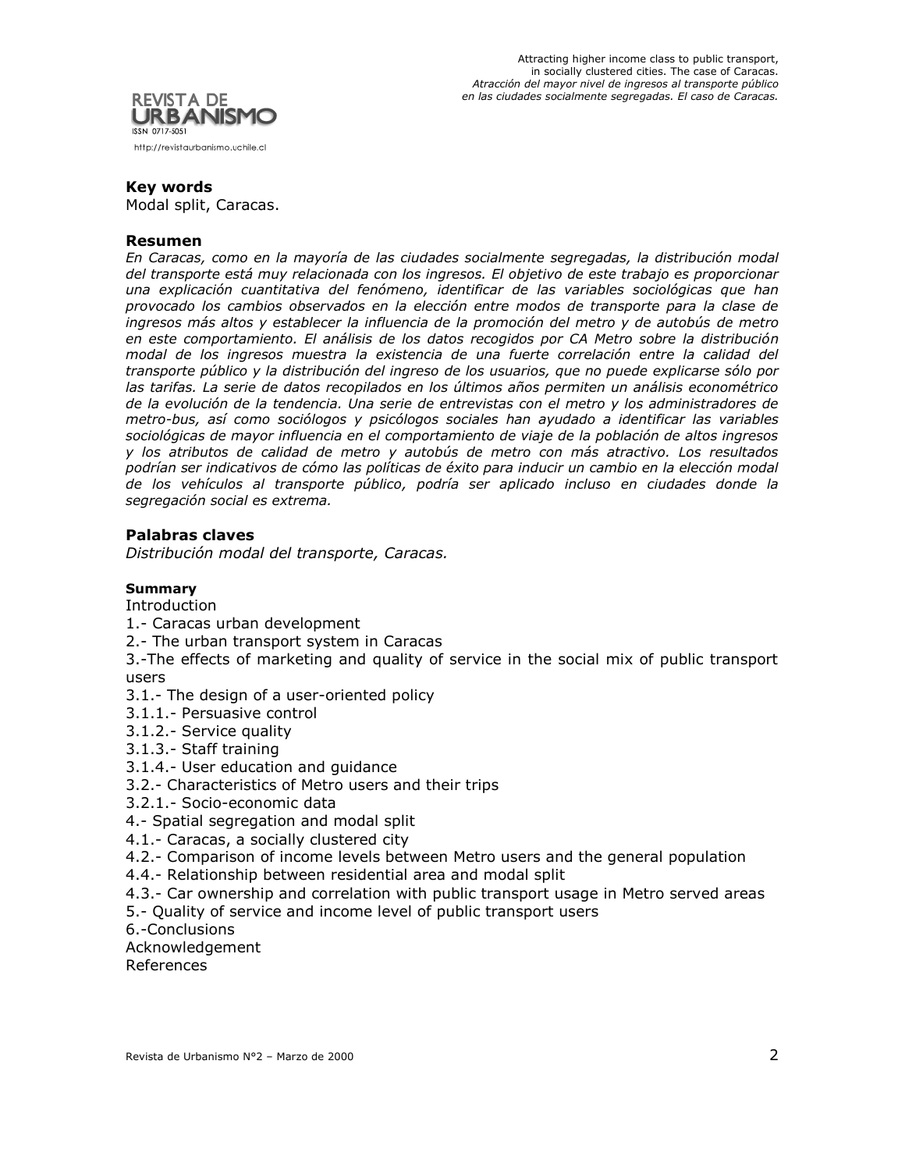



#### **Key words**

Modal split, Caracas.

#### **Resumen**

*En Caracas, como en la mayoría de las ciudades socialmente segregadas, la distribución modal del transporte está muy relacionada con los ingresos. El objetivo de este trabajo es proporcionar una explicación cuantitativa del fenómeno, identificar de las variables sociológicas que han provocado los cambios observados en la elección entre modos de transporte para la clase de ingresos más altos y establecer la influencia de la promoción del metro y de autobús de metro en este comportamiento. El análisis de los datos recogidos por CA Metro sobre la distribución modal de los ingresos muestra la existencia de una fuerte correlación entre la calidad del transporte público y la distribución del ingreso de los usuarios, que no puede explicarse sólo por las tarifas. La serie de datos recopilados en los últimos años permiten un análisis econométrico de la evolución de la tendencia. Una serie de entrevistas con el metro y los administradores de metro-bus, así como sociólogos y psicólogos sociales han ayudado a identificar las variables sociológicas de mayor influencia en el comportamiento de viaje de la población de altos ingresos y los atributos de calidad de metro y autobús de metro con más atractivo. Los resultados podrían ser indicativos de cómo las políticas de éxito para inducir un cambio en la elección modal de los vehículos al transporte público, podría ser aplicado incluso en ciudades donde la segregación social es extrema.*

#### **Palabras claves**

*Distribución modal del transporte, Caracas.*

#### **Summary**

Introduction

1.- Caracas urban development

- 2.- The urban transport system in Caracas
- 3.-The effects of marketing and quality of service in the social mix of public transport users
- 3.1.- The design of a user-oriented policy
- 3.1.1.- Persuasive control
- 3.1.2.- Service quality
- 3.1.3.- Staff training
- 3.1.4.- User education and guidance
- 3.2.- Characteristics of Metro users and their trips
- 3.2.1.- Socio-economic data
- 4.- Spatial segregation and modal split
- 4.1.- Caracas, a socially clustered city
- 4.2.- Comparison of income levels between Metro users and the general population
- 4.4.- Relationship between residential area and modal split
- 4.3.- Car ownership and correlation with public transport usage in Metro served areas
- 5.- Quality of service and income level of public transport users
- 6.-Conclusions

Acknowledgement

References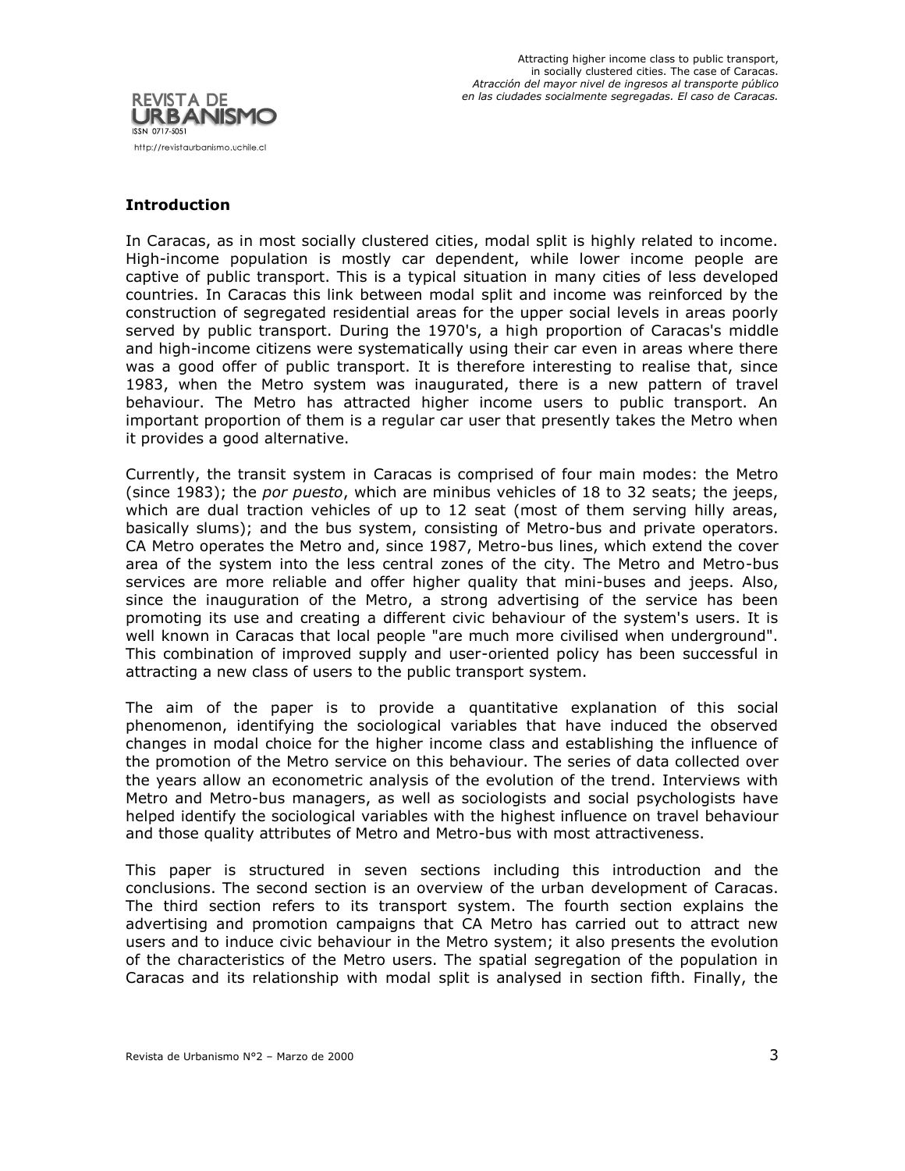

## **Introduction**

In Caracas, as in most socially clustered cities, modal split is highly related to income. High-income population is mostly car dependent, while lower income people are captive of public transport. This is a typical situation in many cities of less developed countries. In Caracas this link between modal split and income was reinforced by the construction of segregated residential areas for the upper social levels in areas poorly served by public transport. During the 1970's, a high proportion of Caracas's middle and high-income citizens were systematically using their car even in areas where there was a good offer of public transport. It is therefore interesting to realise that, since 1983, when the Metro system was inaugurated, there is a new pattern of travel behaviour. The Metro has attracted higher income users to public transport. An important proportion of them is a regular car user that presently takes the Metro when it provides a good alternative.

Currently, the transit system in Caracas is comprised of four main modes: the Metro (since 1983); the *por puesto*, which are minibus vehicles of 18 to 32 seats; the jeeps, which are dual traction vehicles of up to 12 seat (most of them serving hilly areas, basically slums); and the bus system, consisting of Metro-bus and private operators. CA Metro operates the Metro and, since 1987, Metro-bus lines, which extend the cover area of the system into the less central zones of the city. The Metro and Metro-bus services are more reliable and offer higher quality that mini-buses and jeeps. Also, since the inauguration of the Metro, a strong advertising of the service has been promoting its use and creating a different civic behaviour of the system's users. It is well known in Caracas that local people "are much more civilised when underground". This combination of improved supply and user-oriented policy has been successful in attracting a new class of users to the public transport system.

The aim of the paper is to provide a quantitative explanation of this social phenomenon, identifying the sociological variables that have induced the observed changes in modal choice for the higher income class and establishing the influence of the promotion of the Metro service on this behaviour. The series of data collected over the years allow an econometric analysis of the evolution of the trend. Interviews with Metro and Metro-bus managers, as well as sociologists and social psychologists have helped identify the sociological variables with the highest influence on travel behaviour and those quality attributes of Metro and Metro-bus with most attractiveness.

This paper is structured in seven sections including this introduction and the conclusions. The second section is an overview of the urban development of Caracas. The third section refers to its transport system. The fourth section explains the advertising and promotion campaigns that CA Metro has carried out to attract new users and to induce civic behaviour in the Metro system; it also presents the evolution of the characteristics of the Metro users. The spatial segregation of the population in Caracas and its relationship with modal split is analysed in section fifth. Finally, the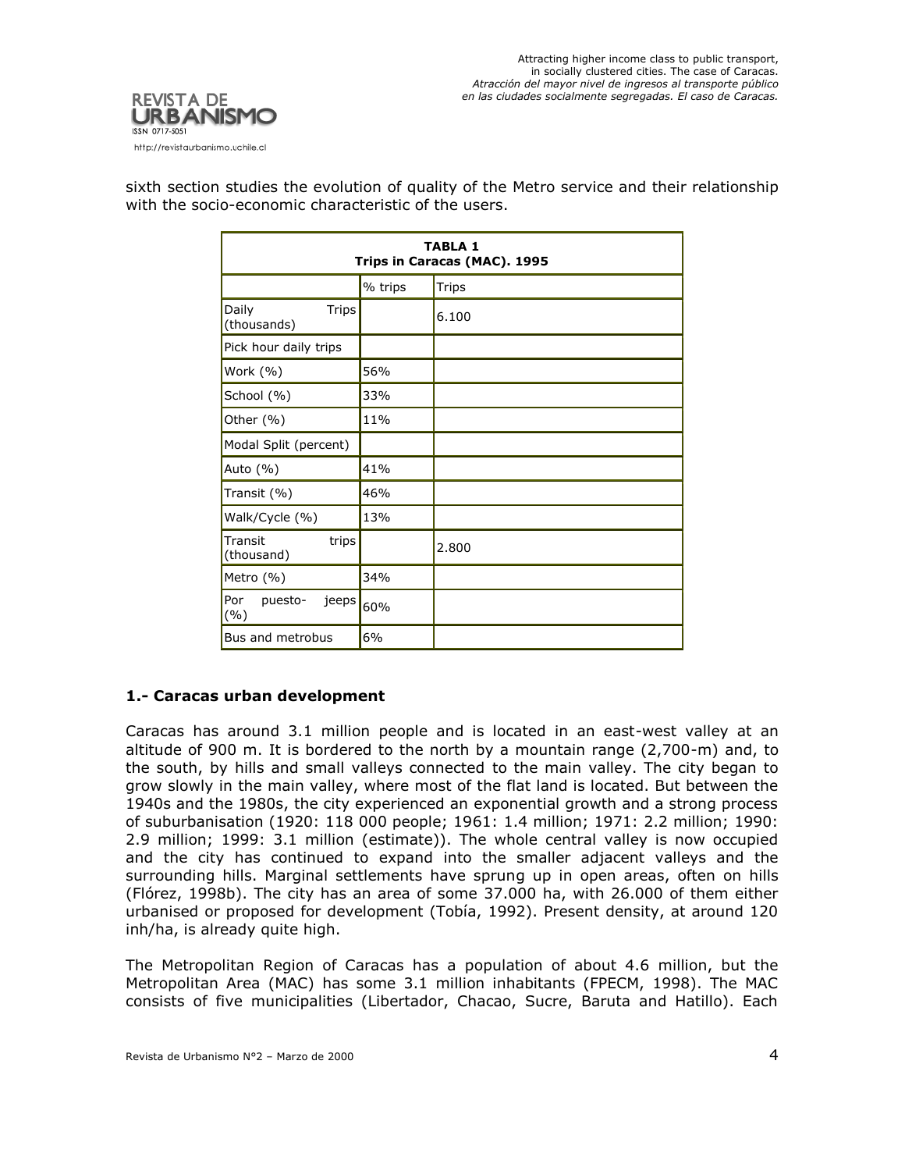

| <b>TABLA 1</b><br>Trips in Caracas (MAC). 1995 |         |              |
|------------------------------------------------|---------|--------------|
|                                                | % trips | <b>Trips</b> |
| <b>Trips</b><br>Daily<br>(thousands)           |         | 6.100        |
| Pick hour daily trips                          |         |              |
| Work (%)                                       | 56%     |              |
| School (%)                                     | 33%     |              |
| Other (%)                                      | 11%     |              |
| Modal Split (percent)                          |         |              |
| Auto $(\% )$                                   | 41%     |              |
| Transit (%)                                    | 46%     |              |
| Walk/Cycle (%)                                 | 13%     |              |
| Transit<br>trips<br>(thousand)                 |         | 2.800        |
| Metro (%)                                      | 34%     |              |
| Por<br>puesto-<br>jeeps <br>(%)                | 60%     |              |
| Bus and metrobus                               | 6%      |              |

sixth section studies the evolution of quality of the Metro service and their relationship with the socio-economic characteristic of the users.

# **1.- Caracas urban development**

Caracas has around 3.1 million people and is located in an east-west valley at an altitude of 900 m. It is bordered to the north by a mountain range (2,700-m) and, to the south, by hills and small valleys connected to the main valley. The city began to grow slowly in the main valley, where most of the flat land is located. But between the 1940s and the 1980s, the city experienced an exponential growth and a strong process of suburbanisation (1920: 118 000 people; 1961: 1.4 million; 1971: 2.2 million; 1990: 2.9 million; 1999: 3.1 million (estimate)). The whole central valley is now occupied and the city has continued to expand into the smaller adjacent valleys and the surrounding hills. Marginal settlements have sprung up in open areas, often on hills (Flórez, 1998b). The city has an area of some 37.000 ha, with 26.000 of them either urbanised or proposed for development (Tobía, 1992). Present density, at around 120 inh/ha, is already quite high.

The Metropolitan Region of Caracas has a population of about 4.6 million, but the Metropolitan Area (MAC) has some 3.1 million inhabitants (FPECM, 1998). The MAC consists of five municipalities (Libertador, Chacao, Sucre, Baruta and Hatillo). Each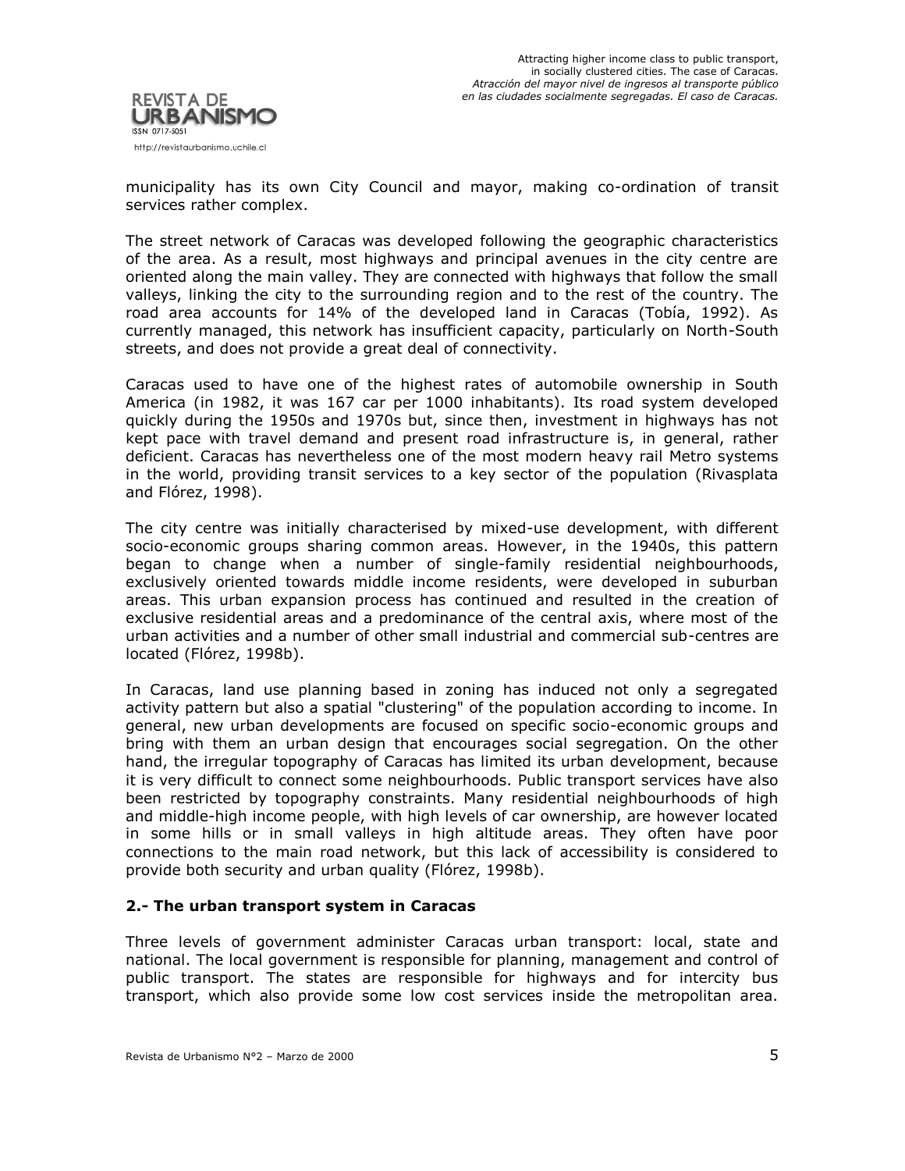

municipality has its own City Council and mayor, making co-ordination of transit services rather complex.

The street network of Caracas was developed following the geographic characteristics of the area. As a result, most highways and principal avenues in the city centre are oriented along the main valley. They are connected with highways that follow the small valleys, linking the city to the surrounding region and to the rest of the country. The road area accounts for 14% of the developed land in Caracas (Tobía, 1992). As currently managed, this network has insufficient capacity, particularly on North-South streets, and does not provide a great deal of connectivity.

Caracas used to have one of the highest rates of automobile ownership in South America (in 1982, it was 167 car per 1000 inhabitants). Its road system developed quickly during the 1950s and 1970s but, since then, investment in highways has not kept pace with travel demand and present road infrastructure is, in general, rather deficient. Caracas has nevertheless one of the most modern heavy rail Metro systems in the world, providing transit services to a key sector of the population (Rivasplata and Flórez, 1998).

The city centre was initially characterised by mixed-use development, with different socio-economic groups sharing common areas. However, in the 1940s, this pattern began to change when a number of single-family residential neighbourhoods, exclusively oriented towards middle income residents, were developed in suburban areas. This urban expansion process has continued and resulted in the creation of exclusive residential areas and a predominance of the central axis, where most of the urban activities and a number of other small industrial and commercial sub-centres are located (Flórez, 1998b).

In Caracas, land use planning based in zoning has induced not only a segregated activity pattern but also a spatial "clustering" of the population according to income. In general, new urban developments are focused on specific socio-economic groups and bring with them an urban design that encourages social segregation. On the other hand, the irregular topography of Caracas has limited its urban development, because it is very difficult to connect some neighbourhoods. Public transport services have also been restricted by topography constraints. Many residential neighbourhoods of high and middle-high income people, with high levels of car ownership, are however located in some hills or in small valleys in high altitude areas. They often have poor connections to the main road network, but this lack of accessibility is considered to provide both security and urban quality (Flórez, 1998b).

## **2.- The urban transport system in Caracas**

Three levels of government administer Caracas urban transport: local, state and national. The local government is responsible for planning, management and control of public transport. The states are responsible for highways and for intercity bus transport, which also provide some low cost services inside the metropolitan area.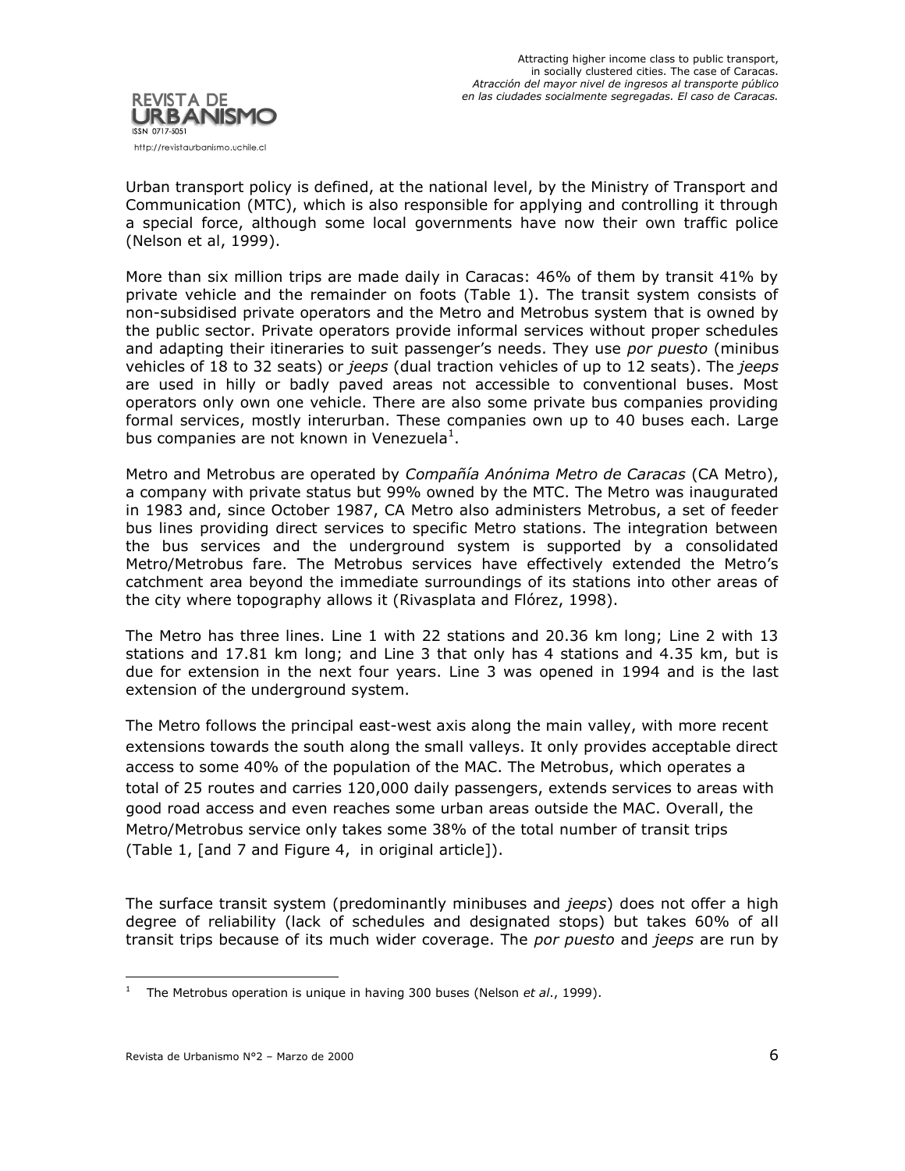

Urban transport policy is defined, at the national level, by the Ministry of Transport and Communication (MTC), which is also responsible for applying and controlling it through a special force, although some local governments have now their own traffic police (Nelson et al, 1999).

More than six million trips are made daily in Caracas: 46% of them by transit 41% by private vehicle and the remainder on foots (Table 1). The transit system consists of non-subsidised private operators and the Metro and Metrobus system that is owned by the public sector. Private operators provide informal services without proper schedules and adapting their itineraries to suit passenger's needs. They use *por puesto* (minibus vehicles of 18 to 32 seats) or *jeeps* (dual traction vehicles of up to 12 seats). The *jeeps* are used in hilly or badly paved areas not accessible to conventional buses. Most operators only own one vehicle. There are also some private bus companies providing formal services, mostly interurban. These companies own up to 40 buses each. Large bus companies are not known in Venezuela<sup>1</sup>.

Metro and Metrobus are operated by *Compañía Anónima Metro de Caracas* (CA Metro), a company with private status but 99% owned by the MTC. The Metro was inaugurated in 1983 and, since October 1987, CA Metro also administers Metrobus, a set of feeder bus lines providing direct services to specific Metro stations. The integration between the bus services and the underground system is supported by a consolidated Metro/Metrobus fare. The Metrobus services have effectively extended the Metro's catchment area beyond the immediate surroundings of its stations into other areas of the city where topography allows it (Rivasplata and Flórez, 1998).

The Metro has three lines. Line 1 with 22 stations and 20.36 km long; Line 2 with 13 stations and 17.81 km long; and Line 3 that only has 4 stations and 4.35 km, but is due for extension in the next four years. Line 3 was opened in 1994 and is the last extension of the underground system.

The Metro follows the principal east-west axis along the main valley, with more recent extensions towards the south along the small valleys. It only provides acceptable direct access to some 40% of the population of the MAC. The Metrobus, which operates a total of 25 routes and carries 120,000 daily passengers, extends services to areas with good road access and even reaches some urban areas outside the MAC. Overall, the Metro/Metrobus service only takes some 38% of the total number of transit trips (Table 1, [and 7 and Figure 4, in original article]).

The surface transit system (predominantly minibuses and *jeeps*) does not offer a high degree of reliability (lack of schedules and designated stops) but takes 60% of all transit trips because of its much wider coverage. The *por puesto* and *jeeps* are run by

 $\overline{a}$ 

<sup>&</sup>lt;sup>1</sup> The Metrobus operation is unique in having 300 buses (Nelson *et al.*, 1999).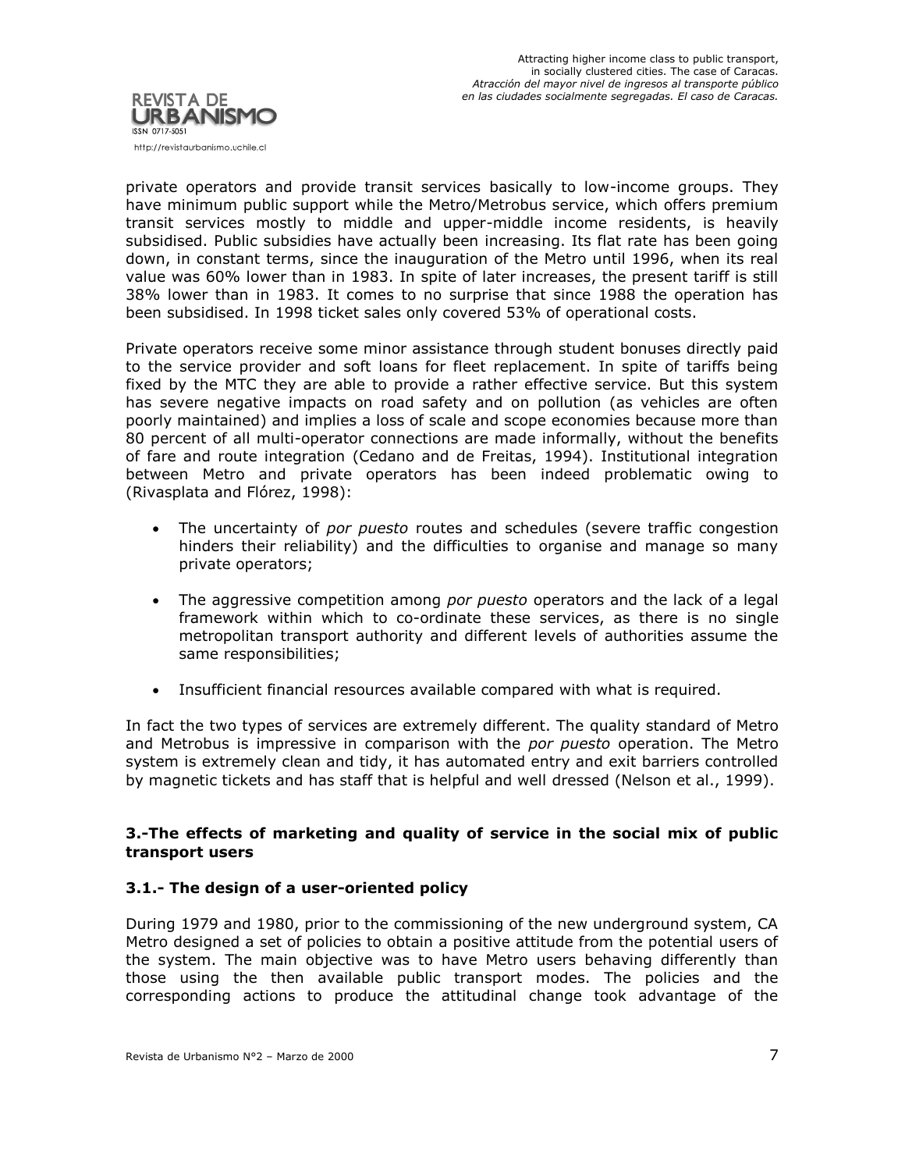

private operators and provide transit services basically to low-income groups. They have minimum public support while the Metro/Metrobus service, which offers premium transit services mostly to middle and upper-middle income residents, is heavily subsidised. Public subsidies have actually been increasing. Its flat rate has been going down, in constant terms, since the inauguration of the Metro until 1996, when its real value was 60% lower than in 1983. In spite of later increases, the present tariff is still 38% lower than in 1983. It comes to no surprise that since 1988 the operation has been subsidised. In 1998 ticket sales only covered 53% of operational costs.

Private operators receive some minor assistance through student bonuses directly paid to the service provider and soft loans for fleet replacement. In spite of tariffs being fixed by the MTC they are able to provide a rather effective service. But this system has severe negative impacts on road safety and on pollution (as vehicles are often poorly maintained) and implies a loss of scale and scope economies because more than 80 percent of all multi-operator connections are made informally, without the benefits of fare and route integration (Cedano and de Freitas, 1994). Institutional integration between Metro and private operators has been indeed problematic owing to (Rivasplata and Flórez, 1998):

- The uncertainty of *por puesto* routes and schedules (severe traffic congestion hinders their reliability) and the difficulties to organise and manage so many private operators;
- The aggressive competition among *por puesto* operators and the lack of a legal framework within which to co-ordinate these services, as there is no single metropolitan transport authority and different levels of authorities assume the same responsibilities;
- Insufficient financial resources available compared with what is required.

In fact the two types of services are extremely different. The quality standard of Metro and Metrobus is impressive in comparison with the *por puesto* operation. The Metro system is extremely clean and tidy, it has automated entry and exit barriers controlled by magnetic tickets and has staff that is helpful and well dressed (Nelson et al., 1999).

## **3.-The effects of marketing and quality of service in the social mix of public transport users**

# **3.1.- The design of a user-oriented policy**

During 1979 and 1980, prior to the commissioning of the new underground system, CA Metro designed a set of policies to obtain a positive attitude from the potential users of the system. The main objective was to have Metro users behaving differently than those using the then available public transport modes. The policies and the corresponding actions to produce the attitudinal change took advantage of the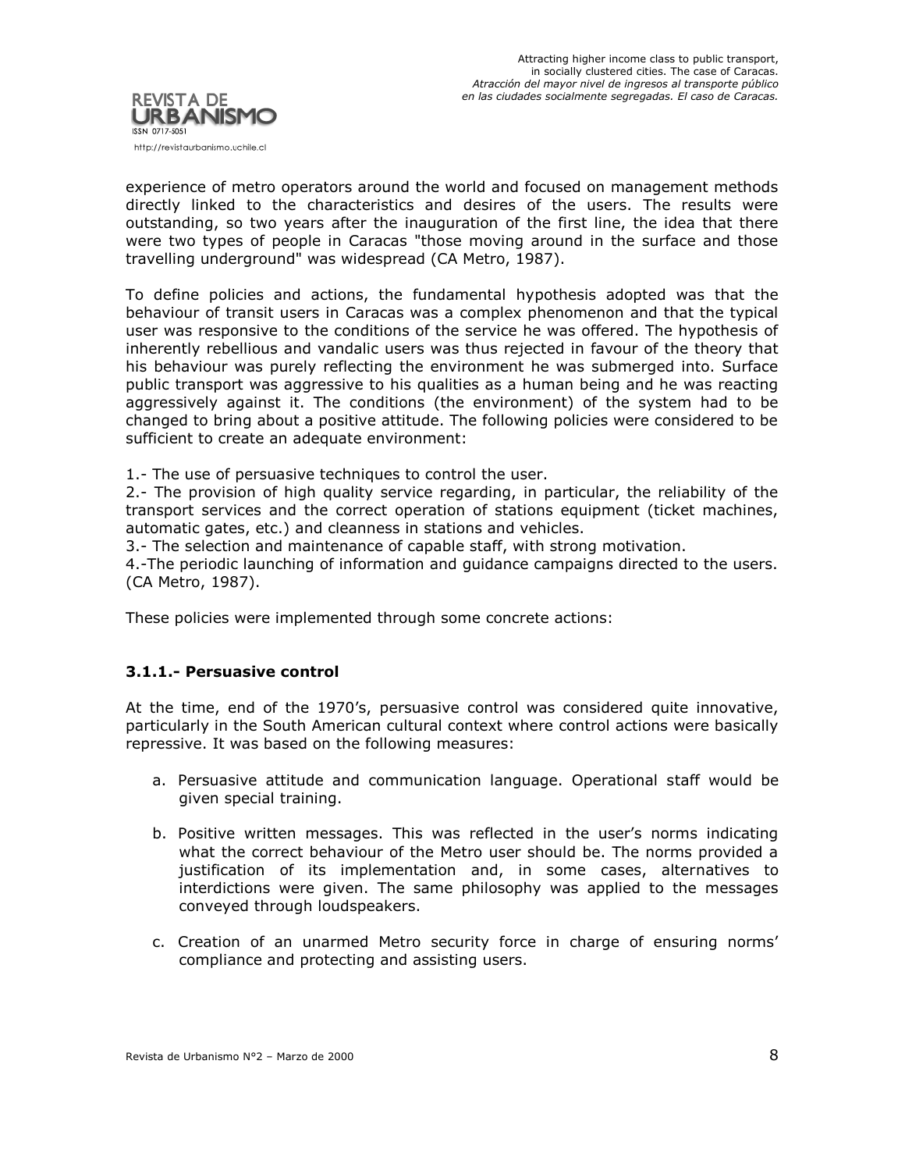

experience of metro operators around the world and focused on management methods directly linked to the characteristics and desires of the users. The results were outstanding, so two years after the inauguration of the first line, the idea that there were two types of people in Caracas "those moving around in the surface and those travelling underground" was widespread (CA Metro, 1987).

To define policies and actions, the fundamental hypothesis adopted was that the behaviour of transit users in Caracas was a complex phenomenon and that the typical user was responsive to the conditions of the service he was offered. The hypothesis of inherently rebellious and vandalic users was thus rejected in favour of the theory that his behaviour was purely reflecting the environment he was submerged into. Surface public transport was aggressive to his qualities as a human being and he was reacting aggressively against it. The conditions (the environment) of the system had to be changed to bring about a positive attitude. The following policies were considered to be sufficient to create an adequate environment:

1.- The use of persuasive techniques to control the user.

2.- The provision of high quality service regarding, in particular, the reliability of the transport services and the correct operation of stations equipment (ticket machines, automatic gates, etc.) and cleanness in stations and vehicles.

3.- The selection and maintenance of capable staff, with strong motivation.

4.-The periodic launching of information and guidance campaigns directed to the users. (CA Metro, 1987).

These policies were implemented through some concrete actions:

## **3.1.1.- Persuasive control**

At the time, end of the 1970's, persuasive control was considered quite innovative, particularly in the South American cultural context where control actions were basically repressive. It was based on the following measures:

- a. Persuasive attitude and communication language. Operational staff would be given special training.
- b. Positive written messages. This was reflected in the user's norms indicating what the correct behaviour of the Metro user should be. The norms provided a justification of its implementation and, in some cases, alternatives to interdictions were given. The same philosophy was applied to the messages conveyed through loudspeakers.
- c. Creation of an unarmed Metro security force in charge of ensuring norms' compliance and protecting and assisting users.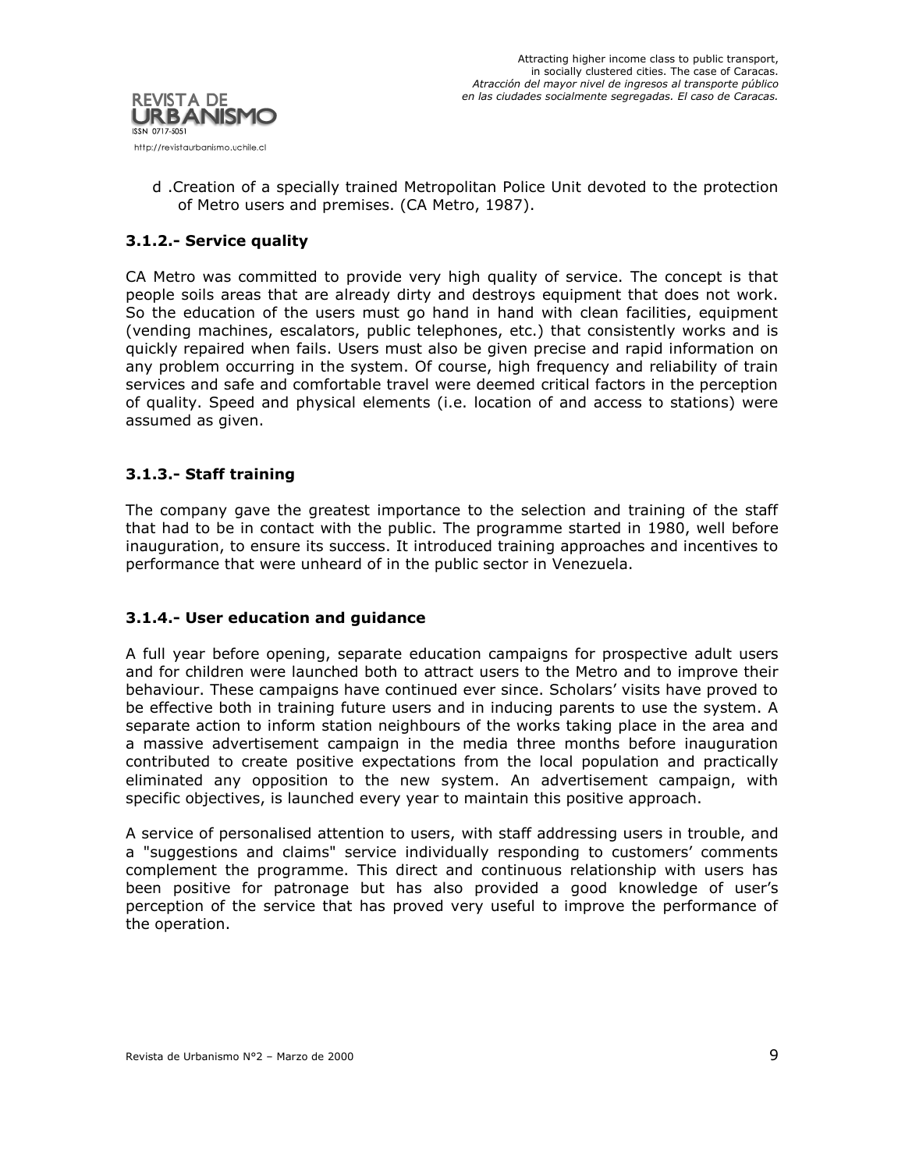

d .Creation of a specially trained Metropolitan Police Unit devoted to the protection of Metro users and premises. (CA Metro, 1987).

# **3.1.2.- Service quality**

CA Metro was committed to provide very high quality of service. The concept is that people soils areas that are already dirty and destroys equipment that does not work. So the education of the users must go hand in hand with clean facilities, equipment (vending machines, escalators, public telephones, etc.) that consistently works and is quickly repaired when fails. Users must also be given precise and rapid information on any problem occurring in the system. Of course, high frequency and reliability of train services and safe and comfortable travel were deemed critical factors in the perception of quality. Speed and physical elements (i.e. location of and access to stations) were assumed as given.

## **3.1.3.- Staff training**

The company gave the greatest importance to the selection and training of the staff that had to be in contact with the public. The programme started in 1980, well before inauguration, to ensure its success. It introduced training approaches and incentives to performance that were unheard of in the public sector in Venezuela.

# **3.1.4.- User education and guidance**

A full year before opening, separate education campaigns for prospective adult users and for children were launched both to attract users to the Metro and to improve their behaviour. These campaigns have continued ever since. Scholars' visits have proved to be effective both in training future users and in inducing parents to use the system. A separate action to inform station neighbours of the works taking place in the area and a massive advertisement campaign in the media three months before inauguration contributed to create positive expectations from the local population and practically eliminated any opposition to the new system. An advertisement campaign, with specific objectives, is launched every year to maintain this positive approach.

A service of personalised attention to users, with staff addressing users in trouble, and a "suggestions and claims" service individually responding to customers' comments complement the programme. This direct and continuous relationship with users has been positive for patronage but has also provided a good knowledge of user's perception of the service that has proved very useful to improve the performance of the operation.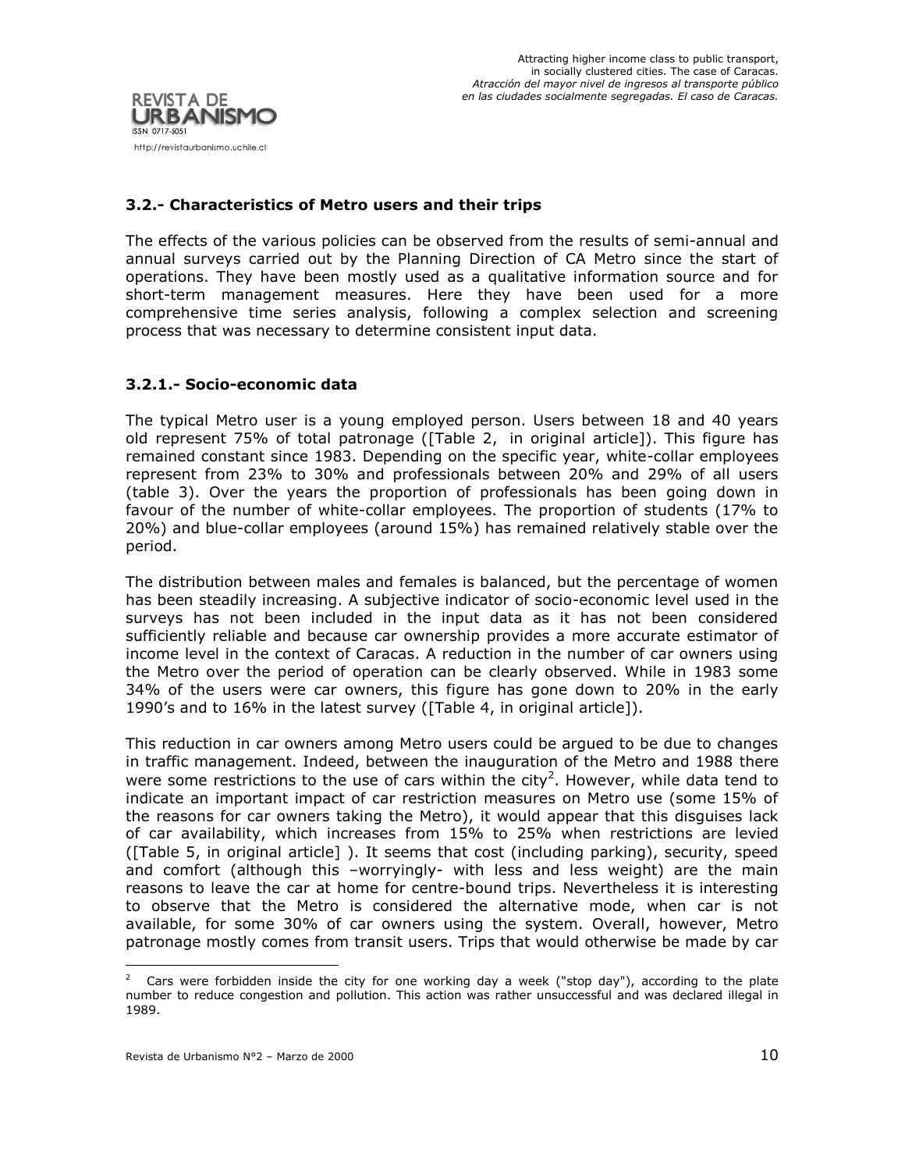

# **3.2.- Characteristics of Metro users and their trips**

The effects of the various policies can be observed from the results of semi-annual and annual surveys carried out by the Planning Direction of CA Metro since the start of operations. They have been mostly used as a qualitative information source and for short-term management measures. Here they have been used for a more comprehensive time series analysis, following a complex selection and screening process that was necessary to determine consistent input data.

## **3.2.1.- Socio-economic data**

The typical Metro user is a young employed person. Users between 18 and 40 years old represent 75% of total patronage ([Table 2, in original article]). This figure has remained constant since 1983. Depending on the specific year, white-collar employees represent from 23% to 30% and professionals between 20% and 29% of all users (table 3). Over the years the proportion of professionals has been going down in favour of the number of white-collar employees. The proportion of students (17% to 20%) and blue-collar employees (around 15%) has remained relatively stable over the period.

The distribution between males and females is balanced, but the percentage of women has been steadily increasing. A subjective indicator of socio-economic level used in the surveys has not been included in the input data as it has not been considered sufficiently reliable and because car ownership provides a more accurate estimator of income level in the context of Caracas. A reduction in the number of car owners using the Metro over the period of operation can be clearly observed. While in 1983 some 34% of the users were car owners, this figure has gone down to 20% in the early 1990's and to 16% in the latest survey ([Table 4, in original article]).

This reduction in car owners among Metro users could be argued to be due to changes in traffic management. Indeed, between the inauguration of the Metro and 1988 there were some restrictions to the use of cars within the city<sup>2</sup>. However, while data tend to indicate an important impact of car restriction measures on Metro use (some 15% of the reasons for car owners taking the Metro), it would appear that this disguises lack of car availability, which increases from 15% to 25% when restrictions are levied ([Table 5, in original article] ). It seems that cost (including parking), security, speed and comfort (although this –worryingly- with less and less weight) are the main reasons to leave the car at home for centre-bound trips. Nevertheless it is interesting to observe that the Metro is considered the alternative mode, when car is not available, for some 30% of car owners using the system. Overall, however, Metro patronage mostly comes from transit users. Trips that would otherwise be made by car

 $\overline{a}$ 

<sup>2</sup> Cars were forbidden inside the city for one working day a week ("stop day"), according to the plate number to reduce congestion and pollution. This action was rather unsuccessful and was declared illegal in 1989.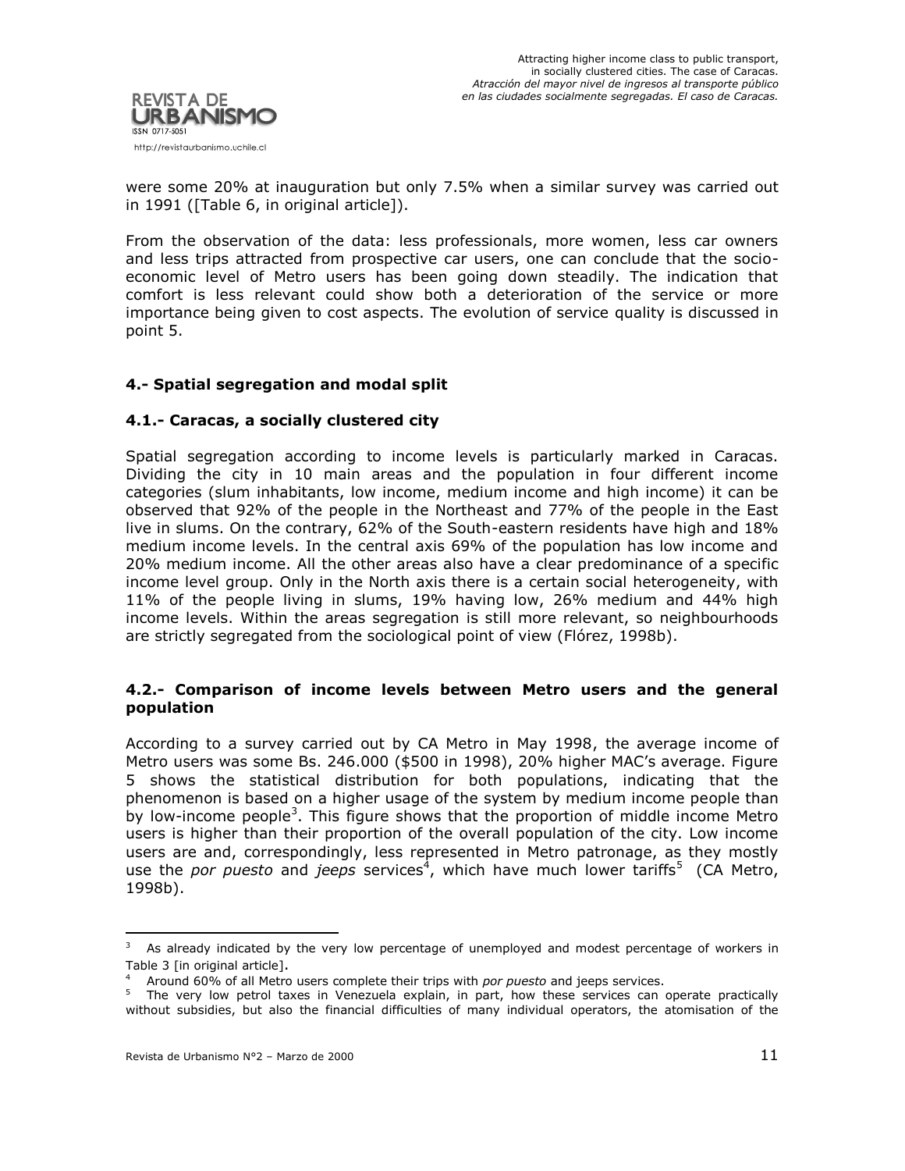

were some 20% at inauguration but only 7.5% when a similar survey was carried out in 1991 ([Table 6, in original article]).

From the observation of the data: less professionals, more women, less car owners and less trips attracted from prospective car users, one can conclude that the socioeconomic level of Metro users has been going down steadily. The indication that comfort is less relevant could show both a deterioration of the service or more importance being given to cost aspects. The evolution of service quality is discussed in point 5.

## **4.- Spatial segregation and modal split**

## **4.1.- Caracas, a socially clustered city**

Spatial segregation according to income levels is particularly marked in Caracas. Dividing the city in 10 main areas and the population in four different income categories (slum inhabitants, low income, medium income and high income) it can be observed that 92% of the people in the Northeast and 77% of the people in the East live in slums. On the contrary, 62% of the South-eastern residents have high and 18% medium income levels. In the central axis 69% of the population has low income and 20% medium income. All the other areas also have a clear predominance of a specific income level group. Only in the North axis there is a certain social heterogeneity, with 11% of the people living in slums, 19% having low, 26% medium and 44% high income levels. Within the areas segregation is still more relevant, so neighbourhoods are strictly segregated from the sociological point of view (Flórez, 1998b).

#### **4.2.- Comparison of income levels between Metro users and the general population**

According to a survey carried out by CA Metro in May 1998, the average income of Metro users was some Bs. 246.000 (\$500 in 1998), 20% higher MAC's average. Figure 5 shows the statistical distribution for both populations, indicating that the phenomenon is based on a higher usage of the system by medium income people than by low-income people<sup>3</sup>. This figure shows that the proportion of middle income Metro users is higher than their proportion of the overall population of the city. Low income users are and, correspondingly, less represented in Metro patronage, as they mostly use the *por puesto* and *jeeps* services<sup>4</sup>, which have much lower tariffs<sup>5</sup> (CA Metro, 1998b).

 $\overline{a}$ 

As already indicated by the very low percentage of unemployed and modest percentage of workers in Table 3 [in original article].

<sup>4</sup> Around 60% of all Metro users complete their trips with *por puesto* and jeeps services.

<sup>&</sup>lt;sup>5</sup> The very low petrol taxes in Venezuela explain, in part, how these services can operate practically without subsidies, but also the financial difficulties of many individual operators, the atomisation of the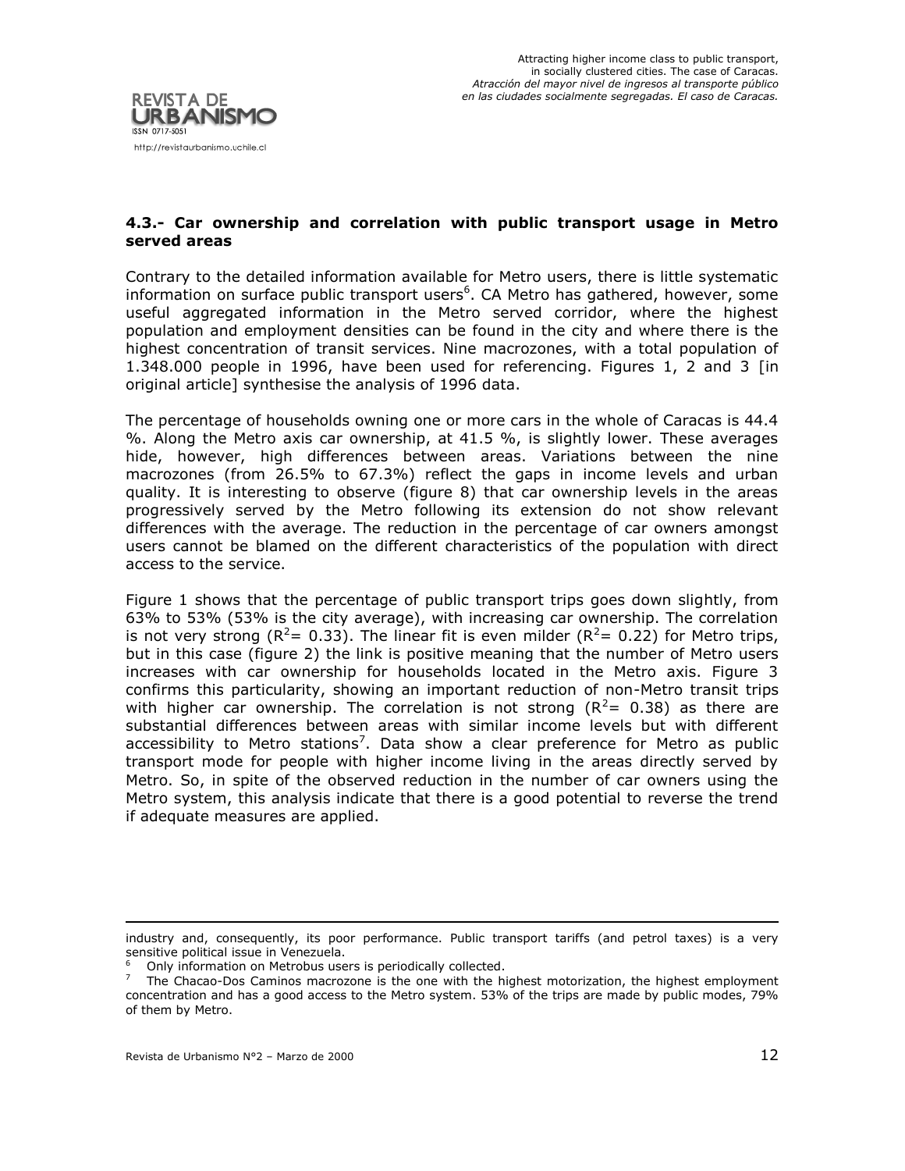

## **4.3.- Car ownership and correlation with public transport usage in Metro served areas**

Contrary to the detailed information available for Metro users, there is little systematic information on surface public transport users<sup>6</sup>. CA Metro has gathered, however, some useful aggregated information in the Metro served corridor, where the highest population and employment densities can be found in the city and where there is the highest concentration of transit services. Nine macrozones, with a total population of 1.348.000 people in 1996, have been used for referencing. Figures 1, 2 and 3 [in original article] synthesise the analysis of 1996 data.

The percentage of households owning one or more cars in the whole of Caracas is 44.4 %. Along the Metro axis car ownership, at 41.5 %, is slightly lower. These averages hide, however, high differences between areas. Variations between the nine macrozones (from 26.5% to 67.3%) reflect the gaps in income levels and urban quality. It is interesting to observe (figure 8) that car ownership levels in the areas progressively served by the Metro following its extension do not show relevant differences with the average. The reduction in the percentage of car owners amongst users cannot be blamed on the different characteristics of the population with direct access to the service.

Figure 1 shows that the percentage of public transport trips goes down slightly, from 63% to 53% (53% is the city average), with increasing car ownership. The correlation is not very strong ( $R^2 = 0.33$ ). The linear fit is even milder ( $R^2 = 0.22$ ) for Metro trips, but in this case (figure 2) the link is positive meaning that the number of Metro users increases with car ownership for households located in the Metro axis. Figure 3 confirms this particularity, showing an important reduction of non-Metro transit trips with higher car ownership. The correlation is not strong ( $R^2$ = 0.38) as there are substantial differences between areas with similar income levels but with different accessibility to Metro stations<sup>7</sup>. Data show a clear preference for Metro as public transport mode for people with higher income living in the areas directly served by Metro. So, in spite of the observed reduction in the number of car owners using the Metro system, this analysis indicate that there is a good potential to reverse the trend if adequate measures are applied.

**.** 

industry and, consequently, its poor performance. Public transport tariffs (and petrol taxes) is a very sensitive political issue in Venezuela.

<sup>6</sup> Only information on Metrobus users is periodically collected.

 $7$  The Chacao-Dos Caminos macrozone is the one with the highest motorization, the highest employment concentration and has a good access to the Metro system. 53% of the trips are made by public modes, 79% of them by Metro.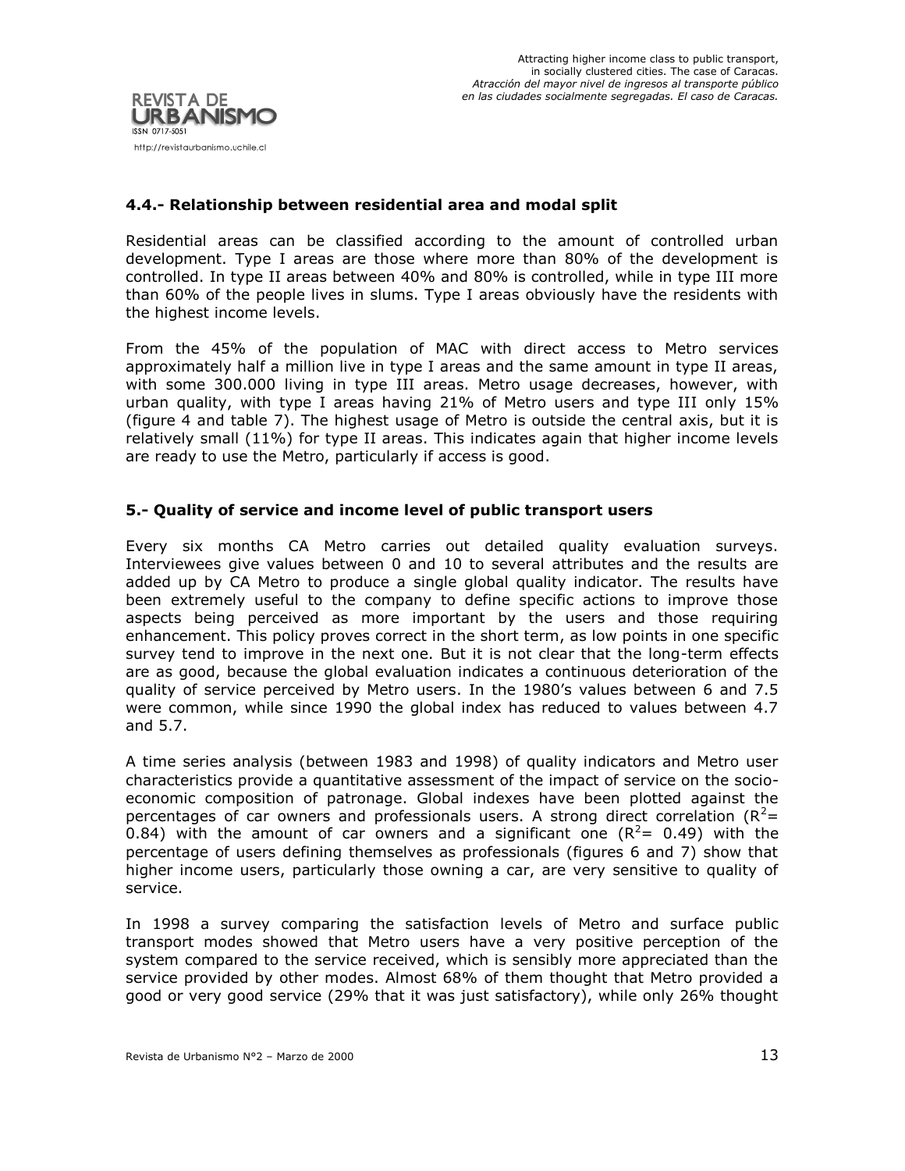

## **4.4.- Relationship between residential area and modal split**

Residential areas can be classified according to the amount of controlled urban development. Type I areas are those where more than 80% of the development is controlled. In type II areas between 40% and 80% is controlled, while in type III more than 60% of the people lives in slums. Type I areas obviously have the residents with the highest income levels.

From the 45% of the population of MAC with direct access to Metro services approximately half a million live in type I areas and the same amount in type II areas, with some 300.000 living in type III areas. Metro usage decreases, however, with urban quality, with type I areas having 21% of Metro users and type III only 15% (figure 4 and table 7). The highest usage of Metro is outside the central axis, but it is relatively small (11%) for type II areas. This indicates again that higher income levels are ready to use the Metro, particularly if access is good.

## **5.- Quality of service and income level of public transport users**

Every six months CA Metro carries out detailed quality evaluation surveys. Interviewees give values between 0 and 10 to several attributes and the results are added up by CA Metro to produce a single global quality indicator. The results have been extremely useful to the company to define specific actions to improve those aspects being perceived as more important by the users and those requiring enhancement. This policy proves correct in the short term, as low points in one specific survey tend to improve in the next one. But it is not clear that the long-term effects are as good, because the global evaluation indicates a continuous deterioration of the quality of service perceived by Metro users. In the 1980's values between 6 and 7.5 were common, while since 1990 the global index has reduced to values between 4.7 and 5.7.

A time series analysis (between 1983 and 1998) of quality indicators and Metro user characteristics provide a quantitative assessment of the impact of service on the socioeconomic composition of patronage. Global indexes have been plotted against the percentages of car owners and professionals users. A strong direct correlation ( $R^2$ = 0.84) with the amount of car owners and a significant one  $(R^2= 0.49)$  with the percentage of users defining themselves as professionals (figures 6 and 7) show that higher income users, particularly those owning a car, are very sensitive to quality of service.

In 1998 a survey comparing the satisfaction levels of Metro and surface public transport modes showed that Metro users have a very positive perception of the system compared to the service received, which is sensibly more appreciated than the service provided by other modes. Almost 68% of them thought that Metro provided a good or very good service (29% that it was just satisfactory), while only 26% thought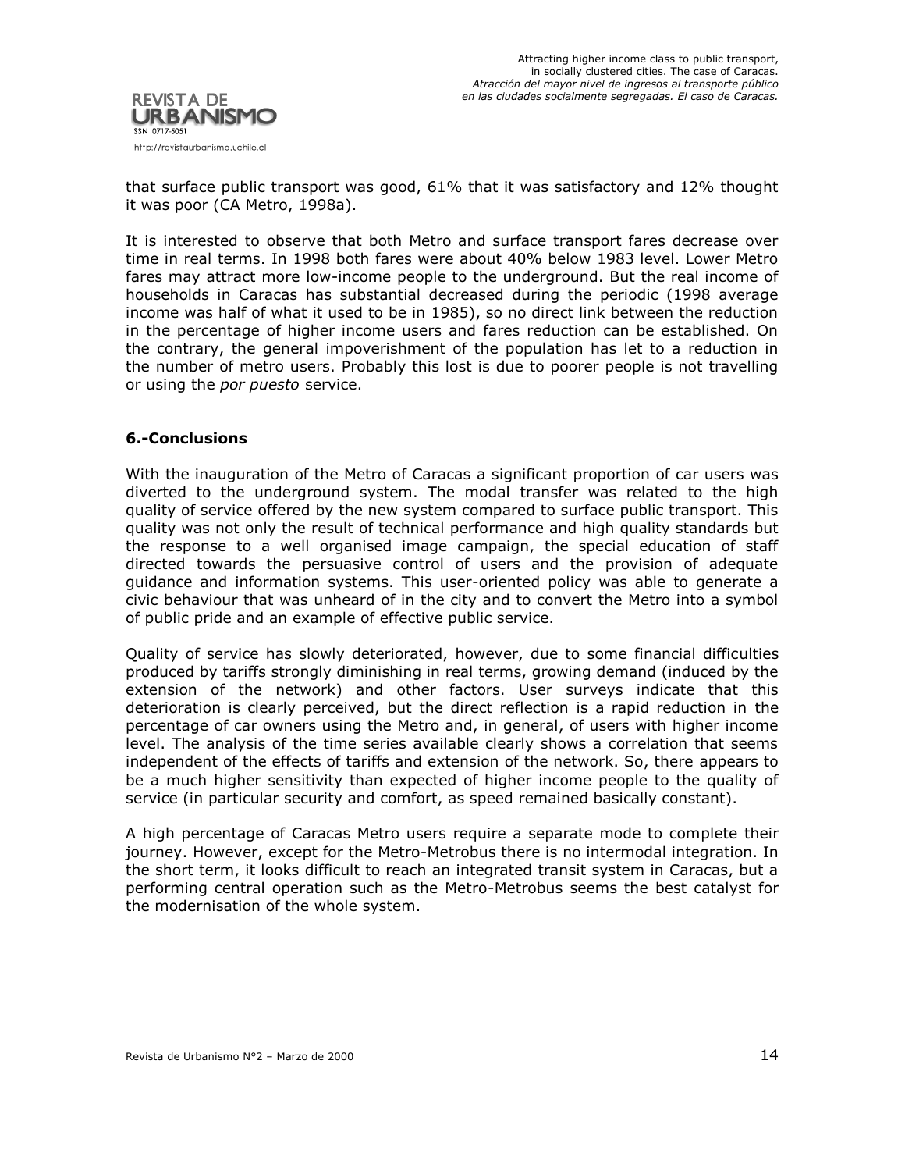

that surface public transport was good, 61% that it was satisfactory and 12% thought it was poor (CA Metro, 1998a).

It is interested to observe that both Metro and surface transport fares decrease over time in real terms. In 1998 both fares were about 40% below 1983 level. Lower Metro fares may attract more low-income people to the underground. But the real income of households in Caracas has substantial decreased during the periodic (1998 average income was half of what it used to be in 1985), so no direct link between the reduction in the percentage of higher income users and fares reduction can be established. On the contrary, the general impoverishment of the population has let to a reduction in the number of metro users. Probably this lost is due to poorer people is not travelling or using the *por puesto* service.

## **6.-Conclusions**

With the inauguration of the Metro of Caracas a significant proportion of car users was diverted to the underground system. The modal transfer was related to the high quality of service offered by the new system compared to surface public transport. This quality was not only the result of technical performance and high quality standards but the response to a well organised image campaign, the special education of staff directed towards the persuasive control of users and the provision of adequate guidance and information systems. This user-oriented policy was able to generate a civic behaviour that was unheard of in the city and to convert the Metro into a symbol of public pride and an example of effective public service.

Quality of service has slowly deteriorated, however, due to some financial difficulties produced by tariffs strongly diminishing in real terms, growing demand (induced by the extension of the network) and other factors. User surveys indicate that this deterioration is clearly perceived, but the direct reflection is a rapid reduction in the percentage of car owners using the Metro and, in general, of users with higher income level. The analysis of the time series available clearly shows a correlation that seems independent of the effects of tariffs and extension of the network. So, there appears to be a much higher sensitivity than expected of higher income people to the quality of service (in particular security and comfort, as speed remained basically constant).

A high percentage of Caracas Metro users require a separate mode to complete their journey. However, except for the Metro-Metrobus there is no intermodal integration. In the short term, it looks difficult to reach an integrated transit system in Caracas, but a performing central operation such as the Metro-Metrobus seems the best catalyst for the modernisation of the whole system.